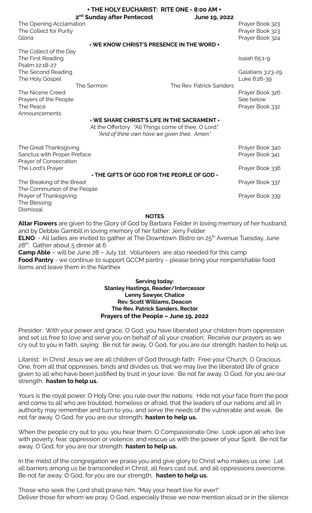|                                                                                 | + THE HOLY EUCHARIST: RITE ONE - 8:00 AM +<br>2 <sup>nd</sup> Sunday after Pentecost                                                                | June 19, 2022            |                                                       |
|---------------------------------------------------------------------------------|-----------------------------------------------------------------------------------------------------------------------------------------------------|--------------------------|-------------------------------------------------------|
| The Opening Acclamation<br>The Collect for Purity<br>Gloria                     | + WE KNOW CHRIST'S PRESENCE IN THE WORD +                                                                                                           |                          | Prayer Book 323<br>Prayer Book 323<br>Prayer Book 324 |
| The Collect of the Day                                                          |                                                                                                                                                     |                          |                                                       |
| The First Reading<br>Psalm 22:18-27                                             |                                                                                                                                                     |                          | Isaiah 65:1-9                                         |
| The Second Reading<br>The Holy Gospel                                           |                                                                                                                                                     |                          | Galatians 3:23-29<br>Luke 8:26-39                     |
|                                                                                 | The Sermon                                                                                                                                          | The Rev. Patrick Sanders |                                                       |
| The Nicene Creed<br>Prayers of the People<br>The Peace<br>Announcements         |                                                                                                                                                     |                          | Prayer Book 326<br>See below<br>Prayer Book 332       |
|                                                                                 | + WE SHARE CHRIST'S LIFE IN THE SACRAMENT +<br>At the Offertory: "All Things come of thee, O Lord."<br>"And of thine own have we given thee. Amen." |                          |                                                       |
| The Great Thanksgiving<br>Sanctus with Proper Preface<br>Prayer of Consecration |                                                                                                                                                     |                          | Prayer Book 340<br>Prayer Book 341                    |
| The Lord's Prayer                                                               |                                                                                                                                                     |                          | Prayer Book 336                                       |
|                                                                                 | + THE GIFTS OF GOD FOR THE PEOPLE OF GOD +                                                                                                          |                          |                                                       |
| The Breaking of the Bread<br>The Communion of the People                        |                                                                                                                                                     |                          | Prayer Book 337                                       |
| Prayer of Thanksgiving<br>The Blessing<br>Dismissal                             |                                                                                                                                                     |                          | Prayer Book 339                                       |
|                                                                                 | <b>NOTES</b>                                                                                                                                        |                          |                                                       |
|                                                                                 |                                                                                                                                                     |                          |                                                       |

**Altar Flowers** are given to the Glory of God by Barbara Felder in loving memory of her husband, and by Debbie Gambill in loving memory of her father; Jerry Felder

**ELNO** - All ladies are invited to gather at The Downtown Bistro on 25<sup>th</sup> Avenue Tuesday, June 28<sup>th</sup>. Gather about 5 dinner at 6.

**Camp Able** – will be June 28 – July 1st. Volunteers are also needed for this camp **Food Pantry** - we continue to support GCCM pantry - please bring your nonperishable food items and leave them in the Narthex

## **Serving today: Stanley Hastings, Reader/Intercessor Lenny Sawyer, Chalice Rev. Scott Williams, Deacon The Rev. Patrick Sanders, Rector Prayers of the People – June 19, 2022**

Presider: With your power and grace, O God, you have liberated your children from oppression and set us free to love and serve you on behalf of all your creation: Receive our prayers as we cry out to you in faith, saying: Be not far away, O God, for you are our strength; hasten to help us.

Litanist: In Christ Jesus we are all children of God through faith: Free your Church, O Gracious One, from all that oppresses, binds and divides us, that we may live the liberated life of grace given to all who have been justified by trust in your love. Be not far away, O God, for you are our strength; **hasten to help us.**

Yours is the royal power, O Holy One; you rule over the nations: Hide not your face from the poor and come to all who are troubled, homeless or afraid, that the leaders of our nations and all in authority may remember and turn to you, and serve the needs of the vulnerable and weak. Be not far away, O God, for you are our strength; **hasten to help us.**

When the people cry out to you, you hear them, O Compassionate One: Look upon all who live with poverty, fear, oppression or violence, and rescue us with the power of your Spirit. Be not far away, O God, for you are our strength; **hasten to help us.**

In the midst of the congregation we praise you and give glory to Christ who makes us one: Let all barriers among us be transcended in Christ, all fears cast out, and all oppressions overcome. Be not far away, O God, for you are our strength; **hasten to help us.**

Those who seek the Lord shall praise him, "May your heart live for ever!" Deliver those for whom we pray, O God, especially those we now mention aloud or in the silence